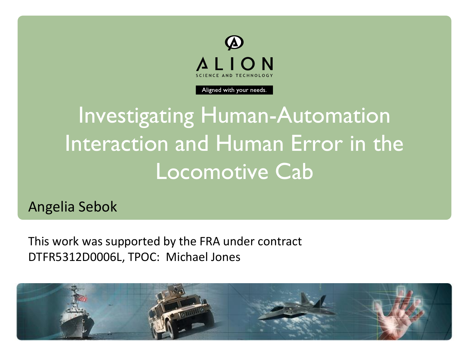

Aligned with your needs.

Investigating Human-Automation Interaction and Human Error in the Locomotive Cab

Angelia Sebok

This work was supported by the FRA under contract DTFR5312D0006L, TPOC: Michael Jones

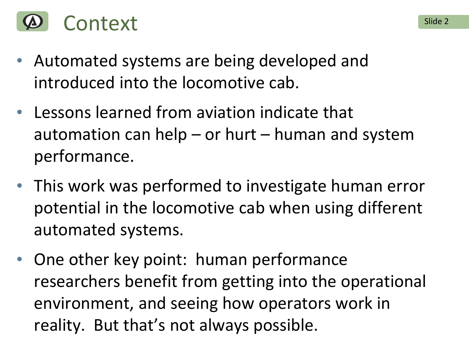

- Automated systems are being developed and introduced into the locomotive cab.
- Lessons learned from aviation indicate that automation can help  $-$  or hurt  $-$  human and system performance.
- This work was performed to investigate human error potential in the locomotive cab when using different automated systems.
- One other key point: human performance researchers benefit from getting into the operational environment, and seeing how operators work in reality. But that's not always possible.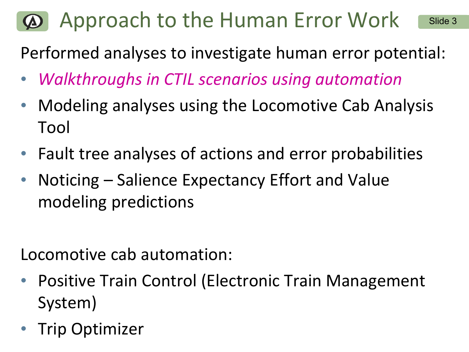### $\Omega$  Approach to the Human Error Work Slide 3

Performed analyses to investigate human error potential:

- *Walkthroughs in CTIL scenarios using automation*
- Modeling analyses using the Locomotive Cab Analysis Tool
- Fault tree analyses of actions and error probabilities
- Noticing Salience Expectancy Effort and Value modeling predictions

Locomotive cab automation:

- Positive Train Control (Electronic Train Management System)
- Trip Optimizer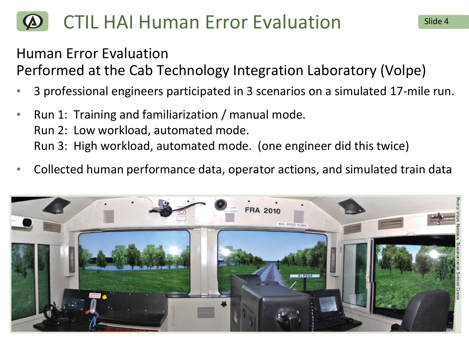# CTIL HAI Human Error Evaluation Slide 4

### Human Error Evaluation

Performed at the Cab Technology Integration Laboratory (Volpe)

- 3 professional engineers participated in 3 scenarios on a simulated 17-mile run.
- Run 1: Training and familiarization / manual mode. Run 2: Low workload, automated mode. Run 3: High workload, automated mode. (one engineer did this twice)
- Collected human performance data, operator actions, and simulated train data

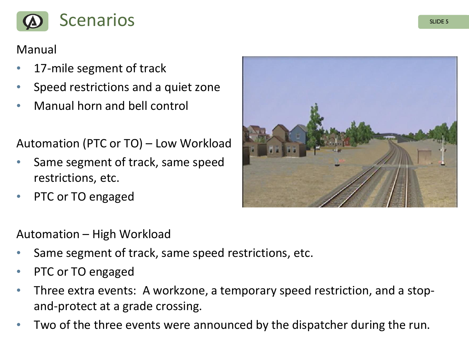

### Manual

- 17-mile segment of track
- Speed restrictions and a quiet zone
- Manual horn and bell control

Automation (PTC or TO) – Low Workload

- Same segment of track, same speed restrictions, etc.
- PTC or TO engaged



### Automation – High Workload

- Same segment of track, same speed restrictions, etc.
- PTC or TO engaged
- Three extra events: A workzone, a temporary speed restriction, and a stopand-protect at a grade crossing.
- Two of the three events were announced by the dispatcher during the run.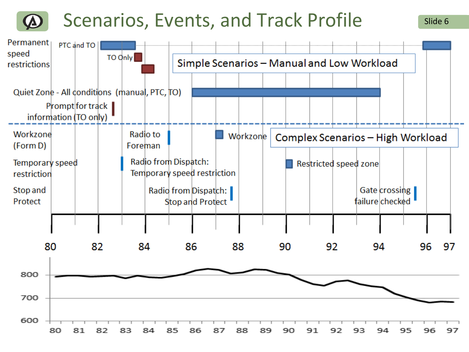## Scenarios, Events, and Track Profile Slide 6

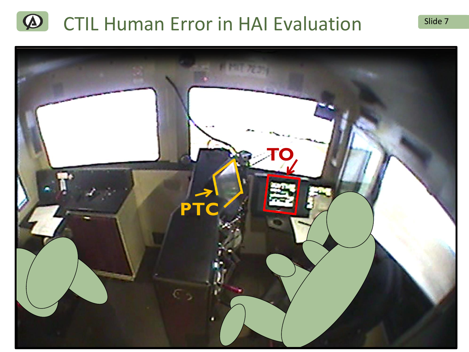#### $\bigcirc$ CTIL Human Error in HAI Evaluation Slide 7

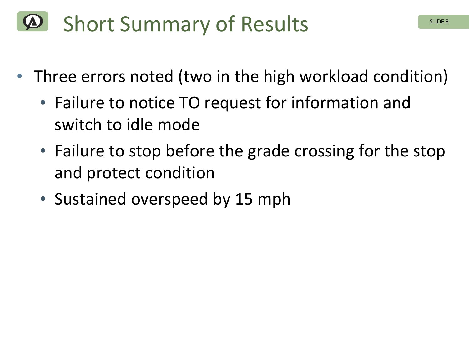# Short Summary of Results

- Three errors noted (two in the high workload condition)
	- Failure to notice TO request for information and switch to idle mode
	- Failure to stop before the grade crossing for the stop and protect condition
	- Sustained overspeed by 15 mph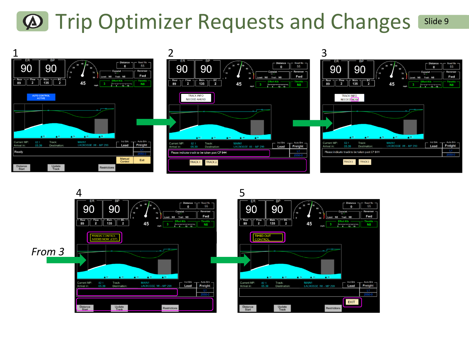# $\bullet$  Trip Optimizer Requests and Changes Slide 9



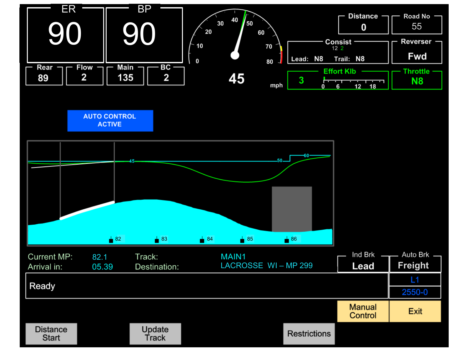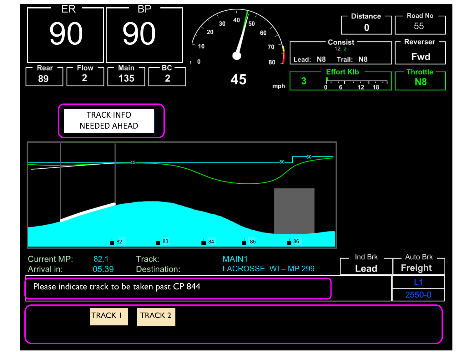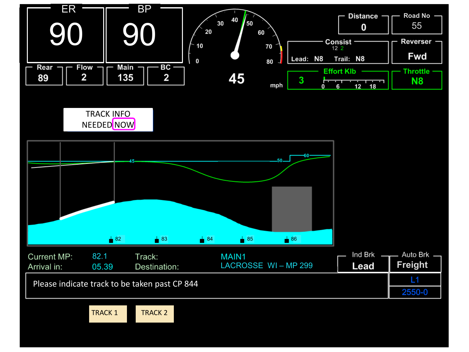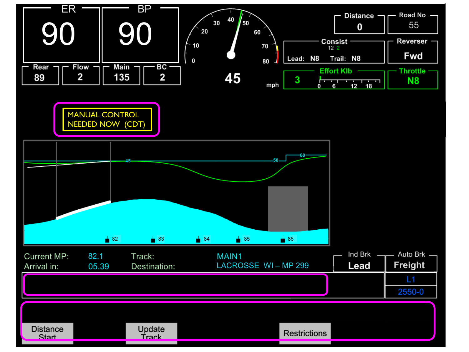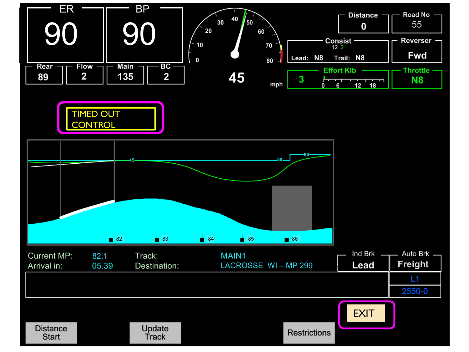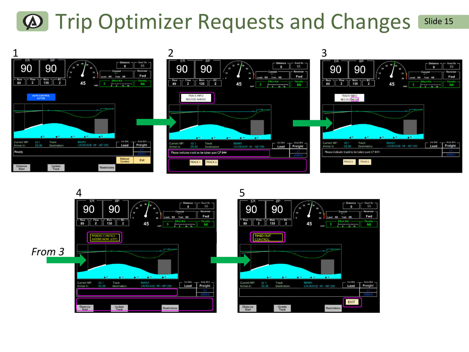# $\bigcirc$  Trip Optimizer Requests and Changes Slide 15



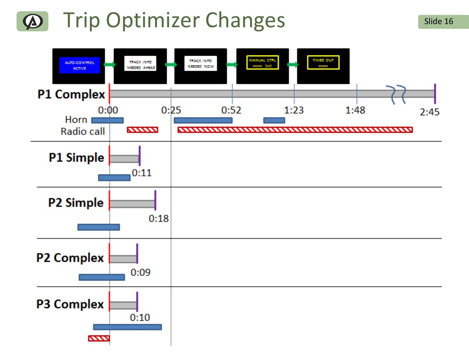### Trip Optimizer Changes Slide 16  $\boldsymbol{\Phi}$

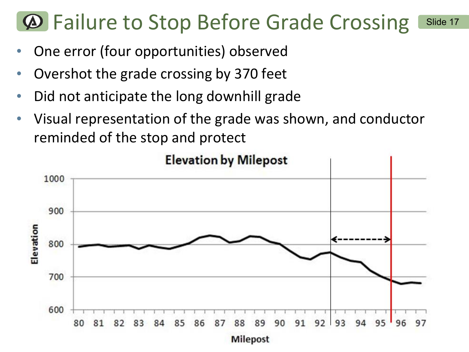# $\Phi$  **Failure to Stop Before Grade Crossing Slide 17**

- One error (four opportunities) observed
- Overshot the grade crossing by 370 feet
- Did not anticipate the long downhill grade
- Visual representation of the grade was shown, and conductor reminded of the stop and protect

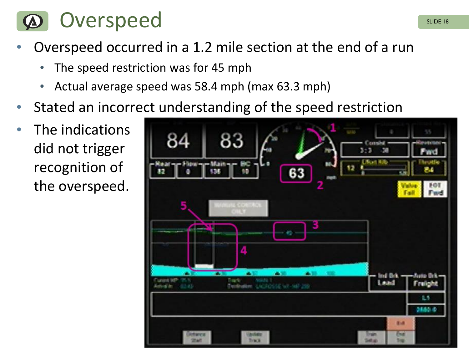

- Overspeed occurred in a 1.2 mile section at the end of a run
	- The speed restriction was for 45 mph
	- Actual average speed was 58.4 mph (max 63.3 mph)
- Stated an incorrect understanding of the speed restriction
- The indications did not trigger recognition of the overspeed.